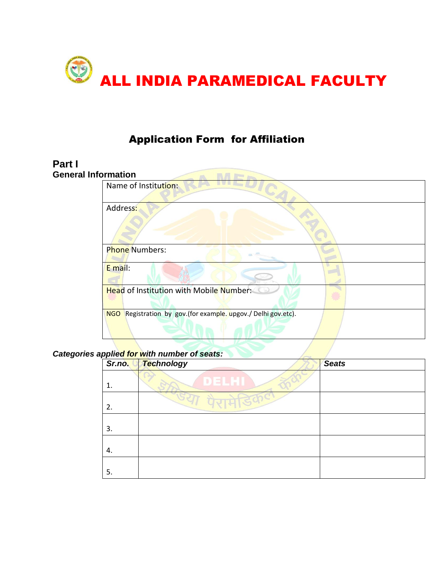

# Application Form for Affiliation

#### **Part I General Inf**

| formation                                                                |
|--------------------------------------------------------------------------|
| Name of Institution:                                                     |
| Address:                                                                 |
| <b>Phone Numbers:</b>                                                    |
| E mail:                                                                  |
| <b>Head of Institution with Mobile Number: CO</b>                        |
| Registration by gov. (for example. upgov./ Delhi gov.etc).<br><b>NGO</b> |

#### *Categories applied for with number of seats:*

| Sr.no. | Technology      | <b>Seats</b> |
|--------|-----------------|--------------|
|        | DELHI           |              |
| 2.     | <b>UNTHICOC</b> |              |
| 3.     |                 |              |
| 4.     |                 |              |
| 5.     |                 |              |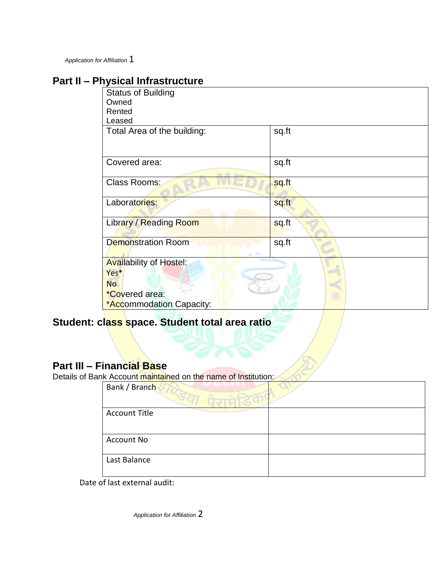*Application for Affiliation* 1

# **Part II – Physical Infrastructure**

| <b>Status of Building</b>      |       |
|--------------------------------|-------|
| Owned                          |       |
| Rented                         |       |
| Leased                         |       |
|                                | sq.ft |
| Total Area of the building:    |       |
|                                |       |
|                                |       |
| Covered area:                  | sq.ft |
|                                |       |
| Class Rooms:                   | sq.ft |
|                                |       |
| Laboratories:                  | sq.ft |
|                                |       |
| Library / Reading Room         | sq.ft |
|                                |       |
| <b>Demonstration Room</b>      | sq.ft |
|                                |       |
| <b>Availability of Hostel:</b> |       |
| Yes*                           |       |
| <b>No</b>                      |       |
| *Covered area:                 |       |
| *Accommodation Capacity:       |       |
|                                |       |

# **Student: class space. Student total area ratio**

# **Part III – Financial Base**

Details of Bank Account maintained on the name of Institution:

| Bank / Branch        |  |
|----------------------|--|
| <b>Account Title</b> |  |
|                      |  |
| Account No           |  |
|                      |  |
| Last Balance         |  |
|                      |  |

Date of last external audit:

*Application for Affiliation* 2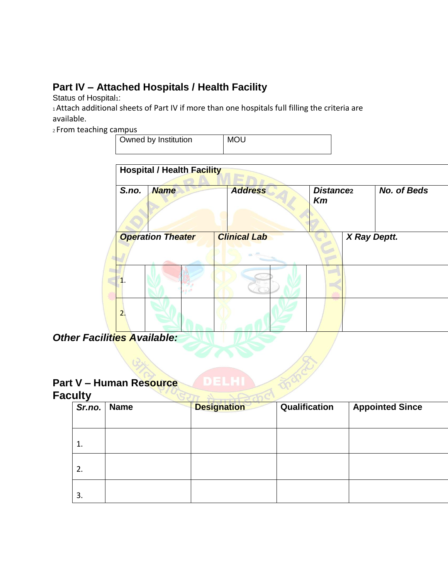# **Part IV – Attached Hospitals / Health Facility**

Status of Hospital<sub>1</sub>:

1 Attach additional sheets of Part IV if more than one hospitals full filling the criteria are available.

<sup>2</sup>From teaching campus

| Owned by Institution | <b>MOU</b> |
|----------------------|------------|
|                      |            |

| S.no.<br><b>Name</b>     | <b>Address</b>      | Distance <sub>2</sub><br>Km | No. of Beds  |
|--------------------------|---------------------|-----------------------------|--------------|
| <b>Operation Theater</b> | <b>Clinical Lab</b> |                             | X Ray Deptt. |
|                          |                     |                             |              |
| 2.                       |                     |                             |              |
| ities Available:         |                     |                             |              |

**Other Facili** 

# **Part V – Human Resource**

## **Faculty**

|    | Sr.no.   Name | <b>Designation</b> | Qualification | <b>Appointed Since</b> |
|----|---------------|--------------------|---------------|------------------------|
|    |               |                    |               |                        |
| 1. |               |                    |               |                        |
| 2. |               |                    |               |                        |
| 3. |               |                    |               |                        |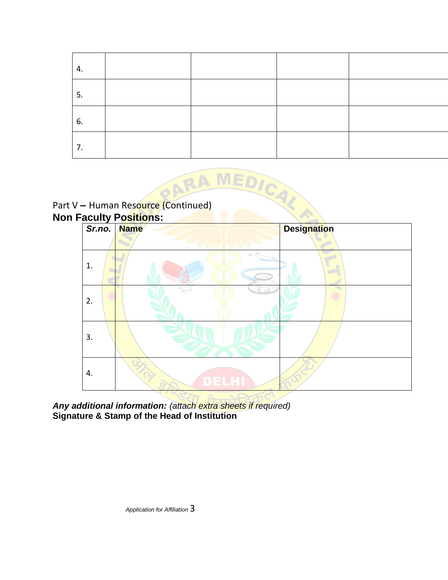| 4. |  |  |
|----|--|--|
| 5. |  |  |
| 6. |  |  |
| 7. |  |  |





*Any additional information: (attach extra sheets if required)*  **Signature & Stamp of the Head of Institution**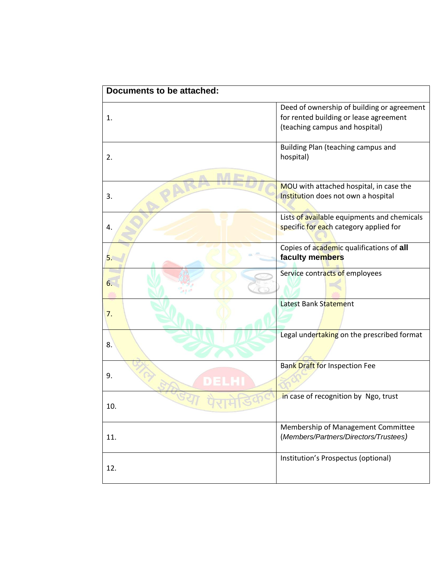| <b>Documents to be attached:</b> |                                                                                                                        |
|----------------------------------|------------------------------------------------------------------------------------------------------------------------|
| 1.                               | Deed of ownership of building or agreement<br>for rented building or lease agreement<br>(teaching campus and hospital) |
| 2.                               | Building Plan (teaching campus and<br>hospital)                                                                        |
| 3.                               | MOU with attached hospital, in case the<br>Institution does not own a hospital                                         |
| 4.                               | Lists of available equipments and chemicals<br>specific for each category applied for                                  |
| 5.                               | Copies of academic qualifications of all<br>faculty members                                                            |
| 6.                               | Service contracts of employees                                                                                         |
| 7.                               | Latest Bank Statement                                                                                                  |
| 8.                               | Legal undertaking on the prescribed format                                                                             |
| 9.                               | <b>Bank Draft for Inspection Fee</b>                                                                                   |
| 10.                              | in case of recognition by Ngo, trust                                                                                   |
| 11.                              | Membership of Management Committee<br>(Members/Partners/Directors/Trustees)                                            |
| 12.                              | Institution's Prospectus (optional)                                                                                    |